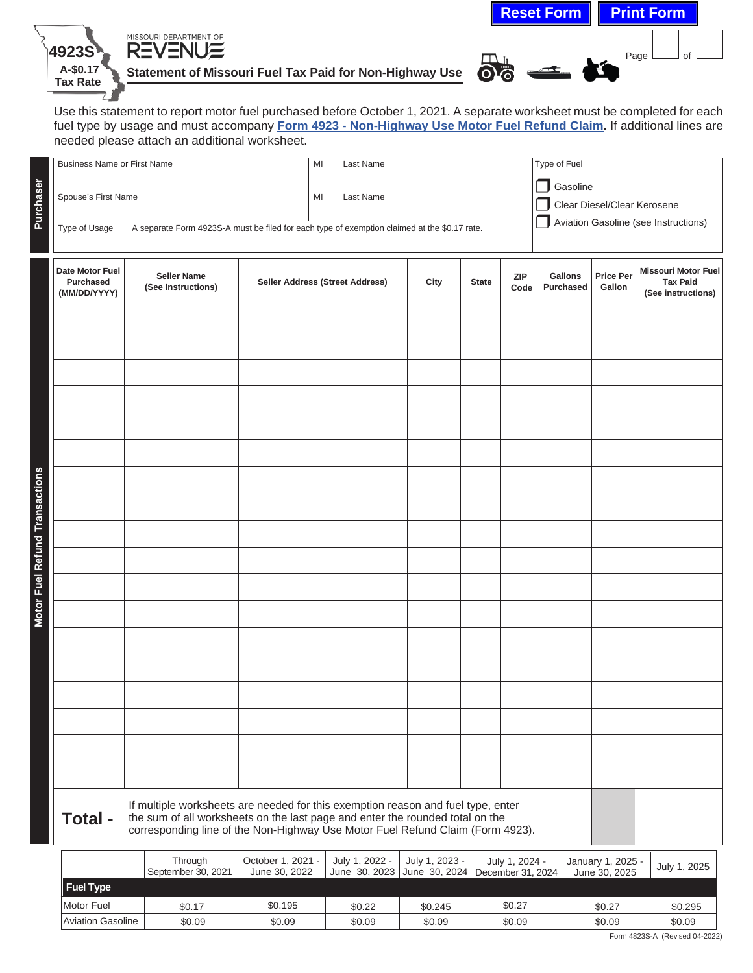| needed please attach an additional worksheet.<br><b>Business Name or First Name</b> |  |  | MI<br>Last Name |                                        |              |                                                                                              |                                                                     |                            |                                                                     |  |
|-------------------------------------------------------------------------------------|--|--|-----------------|----------------------------------------|--------------|----------------------------------------------------------------------------------------------|---------------------------------------------------------------------|----------------------------|---------------------------------------------------------------------|--|
| Spouse's First Name<br>Type of Usage                                                |  |  | Last Name       |                                        |              |                                                                                              | Clear Diesel/Clear Kerosene<br>Aviation Gasoline (see Instructions) |                            |                                                                     |  |
| <b>Seller Name</b><br>(See Instructions)                                            |  |  |                 | City                                   | <b>State</b> | <b>ZIP</b>                                                                                   | Gallons<br><b>Purchased</b>                                         | <b>Price Per</b><br>Gallon | <b>Missouri Motor Fuel</b><br><b>Tax Paid</b><br>(See instructions) |  |
|                                                                                     |  |  |                 |                                        |              |                                                                                              |                                                                     |                            |                                                                     |  |
|                                                                                     |  |  |                 |                                        |              |                                                                                              |                                                                     |                            |                                                                     |  |
|                                                                                     |  |  |                 |                                        |              |                                                                                              |                                                                     |                            |                                                                     |  |
|                                                                                     |  |  |                 |                                        |              |                                                                                              |                                                                     |                            |                                                                     |  |
|                                                                                     |  |  |                 |                                        |              |                                                                                              |                                                                     |                            |                                                                     |  |
|                                                                                     |  |  |                 |                                        |              |                                                                                              |                                                                     |                            |                                                                     |  |
|                                                                                     |  |  |                 |                                        |              |                                                                                              |                                                                     |                            |                                                                     |  |
|                                                                                     |  |  |                 |                                        |              |                                                                                              |                                                                     |                            |                                                                     |  |
|                                                                                     |  |  | MI              | <b>Seller Address (Street Address)</b> |              | A separate Form 4923S-A must be filed for each type of exemption claimed at the \$0.17 rate. |                                                                     | Type of Fuel<br>Code       | □ Gasoline                                                          |  |

**4923S**

MISSOURI DEPARTMENT OF

|                   | ,,,,,,,,,,<br>September 30, 2021 | UUUUUTI I. ZUZI T<br>June 30, 2022 | JUIV I. ZUZZ - | JUIV I. ZUZJ - | JUIV 1. ZUZ4 -<br>June 30, 2023   June 30, 2024   December 31, 2024 ' | January 1, 2020 -<br>June 30, 2025 | July 1, 2025 |
|-------------------|----------------------------------|------------------------------------|----------------|----------------|-----------------------------------------------------------------------|------------------------------------|--------------|
| Fuel Type         |                                  |                                    |                |                |                                                                       |                                    |              |
| Motor Fuel        | \$0.17                           | \$0.195                            | \$0.22         | \$0.245        | \$0.27                                                                | \$0.27                             | \$0.295      |
| Aviation Gasoline | \$0.09                           | \$0.09                             | \$0.09         | \$0.09         | \$0.09                                                                | \$0.09                             | \$0.09       |

 $Page$  of

**Reset Form Print Form**